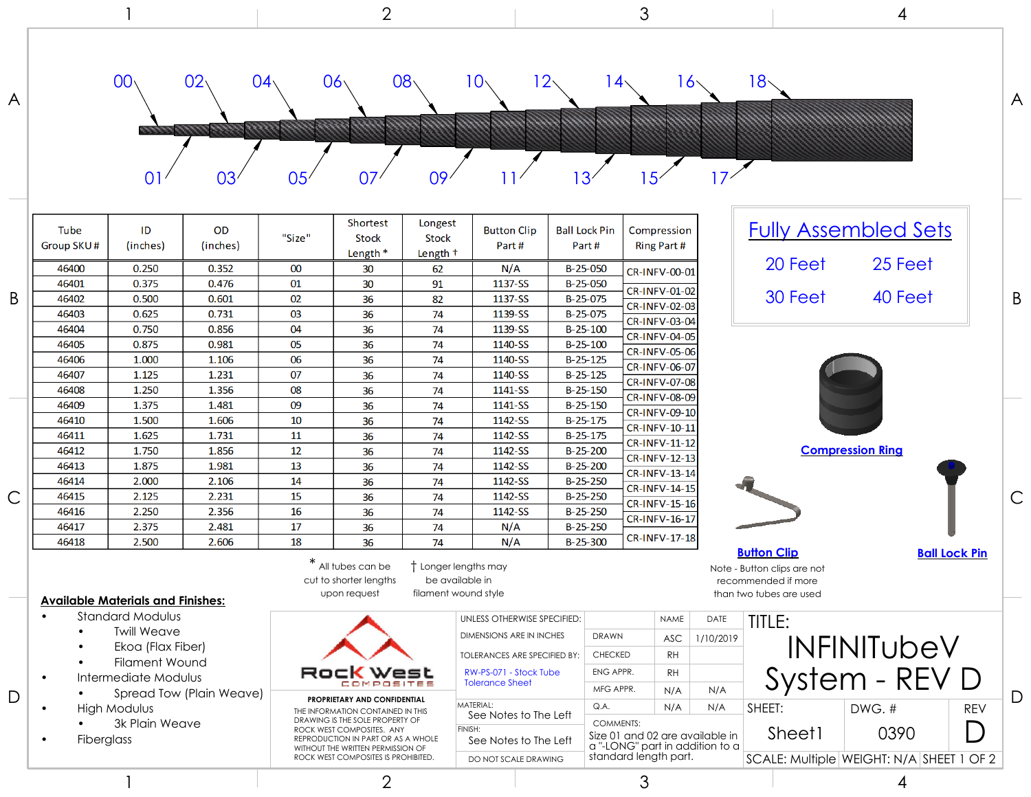|              |                                                                                                                                                                                                                                                            |                                          |                         | $\overline{2}$                                                                                                                                                               |                                                                |                                         |                                                                                                  | 3                                    |                                                                                                       |                                                        |                   |                                                                                                     | 4                           |                      |  |
|--------------|------------------------------------------------------------------------------------------------------------------------------------------------------------------------------------------------------------------------------------------------------------|------------------------------------------|-------------------------|------------------------------------------------------------------------------------------------------------------------------------------------------------------------------|----------------------------------------------------------------|-----------------------------------------|--------------------------------------------------------------------------------------------------|--------------------------------------|-------------------------------------------------------------------------------------------------------|--------------------------------------------------------|-------------------|-----------------------------------------------------------------------------------------------------|-----------------------------|----------------------|--|
| A            |                                                                                                                                                                                                                                                            | 00 <sub>1</sub><br>$\overline{0}$        | 02<br>03'               | 04 <sub>1</sub><br>05 <sub>1</sub>                                                                                                                                           | $06\sqrt{ }$<br>07                                             | 08 <sub>1</sub><br>09                   | 10 $\cdot$                                                                                       | 12<br>3                              | l 4·                                                                                                  | $16\scriptstyle\textstyle\char`$<br>5                  | 17                | 18.                                                                                                 |                             |                      |  |
|              | Tube<br>Group SKU#                                                                                                                                                                                                                                         | ID<br>(inches)                           | OD<br>(inches)          | "Size"                                                                                                                                                                       | Shortest<br><b>Stock</b><br>Length *                           | Longest<br><b>Stock</b><br>Length +     | <b>Button Clip</b><br>Part#                                                                      | <b>Ball Lock Pin</b><br>Part#        |                                                                                                       | Compression<br>Ring Part #                             |                   |                                                                                                     | <b>Fully Assembled Sets</b> |                      |  |
|              | 46400<br>46401                                                                                                                                                                                                                                             | 0.250<br>0.375                           | 0.352<br>0.476          | 00<br>01                                                                                                                                                                     | 30<br>30                                                       | 62<br>91                                | N/A<br>1137-SS                                                                                   | B-25-050<br>B-25-050                 |                                                                                                       | CR-INFV-00-01                                          |                   | 20 Feet                                                                                             | 25 Feet                     |                      |  |
| B            | 46402<br>46403                                                                                                                                                                                                                                             | 0.500<br>0.625                           | 0.601<br>0.731          | 02<br>03                                                                                                                                                                     | 36<br>36                                                       | 82<br>74                                | 1137-SS<br>1139-SS                                                                               | B-25-075<br>B-25-075                 |                                                                                                       | CR-INFV-01-02<br>CR-INFV-02-03<br>CR-INFV-03-04        |                   | 30 Feet                                                                                             | 40 Feet                     |                      |  |
|              | 46404<br>46405                                                                                                                                                                                                                                             | 0.750<br>0.875                           | 0.856<br>0.981          | 04<br>05                                                                                                                                                                     | 36<br>36                                                       | 74<br>74                                | 1139-SS<br>1140-SS                                                                               | $B-25-100$<br>$B-25-100$             |                                                                                                       | CR-INFV-04-05<br>CR-INFV-05-06                         |                   |                                                                                                     |                             |                      |  |
|              | 46406<br>46407                                                                                                                                                                                                                                             | 1.000<br>1.125                           | 1.106<br>1.231          | 06<br>07                                                                                                                                                                     | 36<br>36                                                       | 74<br>74                                | 1140-SS<br>1140-SS                                                                               | $B-25-125$<br>$B-25-125$             |                                                                                                       | CR-INFV-06-07<br>CR-INFV-07-08                         |                   |                                                                                                     |                             |                      |  |
|              | 46408<br>46409<br>46410                                                                                                                                                                                                                                    | 1.250<br>1.375<br>1.500                  | 1.356<br>1.481<br>1.606 | 08<br>09<br>10                                                                                                                                                               | 36<br>36                                                       | 74<br>74                                | 1141-SS<br>1141-SS<br>1142-SS                                                                    | $B-25-150$<br>B-25-150<br>$B-25-175$ |                                                                                                       | CR-INFV-08-09<br><b>CR-INFV-09-10</b>                  |                   |                                                                                                     |                             |                      |  |
|              | 46411<br>46412                                                                                                                                                                                                                                             | 1.625<br>1.750                           | 1.731<br>1.856          | 11<br>12                                                                                                                                                                     | 36<br>36<br>36                                                 | 74<br>74<br>74                          | 1142-SS<br>1142-SS                                                                               | $B-25-175$<br>$B-25-200$             |                                                                                                       | CR-INFV-10-11<br>CR-INFV-11-12                         |                   |                                                                                                     | <b>Compression Ring</b>     |                      |  |
|              | 46413<br>46414                                                                                                                                                                                                                                             | 1.875<br>2.000                           | 1.981<br>2.106          | 13<br>14                                                                                                                                                                     | 36<br>36                                                       | 74<br>74                                | 1142-SS<br>1142-SS                                                                               | $B-25-200$<br>$B-25-250$             |                                                                                                       | <b>CR-INFV-12-13</b><br>CR-INFV-13-14                  |                   |                                                                                                     |                             |                      |  |
| $\mathsf{C}$ | 46415<br>46416                                                                                                                                                                                                                                             | 2.125<br>2.250                           | 2.231<br>2.356          | 15<br>16                                                                                                                                                                     | 36<br>36                                                       | 74<br>74                                | 1142-SS<br>1142-SS                                                                               | $B-25-250$<br>$B-25-250$             |                                                                                                       | CR-INFV-14-15<br><b>CR-INFV-15-16</b><br>CR-INFV-16-17 |                   |                                                                                                     |                             |                      |  |
|              | 46417<br>46418                                                                                                                                                                                                                                             | 2.375<br>2.500                           | 2.481<br>2.606          | 17<br>18                                                                                                                                                                     | 36<br>36                                                       | 74<br>74                                | N/A<br>N/A                                                                                       | $B-25-250$<br>$B-25-300$             |                                                                                                       | <b>CR-INFV-17-18</b>                                   |                   |                                                                                                     |                             |                      |  |
|              |                                                                                                                                                                                                                                                            | <b>Available Materials and Finishes:</b> |                         |                                                                                                                                                                              | $*$ All tubes can be<br>cut to shorter lengths<br>upon request | be available in<br>filament wound style | Longer lengths may                                                                               |                                      |                                                                                                       |                                                        |                   | <b>Button Clip</b><br>Note - Button clips are not<br>recommended if more<br>than two tubes are used |                             | <b>Ball Lock Pin</b> |  |
|              | <b>Standard Modulus</b><br>$\bullet$<br><b>Twill Weave</b><br>Ekoa (Flax Fiber)<br><b>Filament Wound</b><br>Intermediate Modulus<br>$\bullet$<br>Spread Tow (Plain Weave)<br><b>High Modulus</b><br>$\bullet$<br>3k Plain Weave<br>Fiberglass<br>$\bullet$ |                                          |                         |                                                                                                                                                                              |                                                                |                                         | UNLESS OTHERWISE SPECIFIED:<br><b>DIMENSIONS ARE IN INCHES</b>                                   |                                      | <b>DRAWN</b>                                                                                          | <b>NAME</b><br><b>ASC</b>                              | DATE<br>1/10/2019 | TITLE:                                                                                              |                             |                      |  |
|              |                                                                                                                                                                                                                                                            |                                          |                         |                                                                                                                                                                              | Rock<br>west<br>COMPOSITES<br>PROPRIETARY AND CONFIDENTIAL     |                                         | <b>TOLERANCES ARE SPECIFIED BY:</b><br>RW-PS-071 - Stock Tube                                    | <b>CHECKED</b><br>ENG APPR.          |                                                                                                       | <b>RH</b><br><b>RH</b>                                 |                   |                                                                                                     | <b>INFINITUbeV</b>          |                      |  |
|              |                                                                                                                                                                                                                                                            |                                          |                         |                                                                                                                                                                              |                                                                |                                         | <b>Tolerance Sheet</b><br>MATERIAL:<br>See Notes to The Left<br>FINISH:<br>See Notes to The Left |                                      | MFG APPR.                                                                                             | N/A                                                    | N/A               |                                                                                                     | System - REV D              |                      |  |
| D            |                                                                                                                                                                                                                                                            |                                          |                         | THE INFORMATION CONTAINED IN THIS<br>DRAWING IS THE SOLE PROPERTY OF<br>ROCK WEST COMPOSITES. ANY<br>REPRODUCTION IN PART OR AS A WHOLE<br>WITHOUT THE WRITTEN PERMISSION OF |                                                                |                                         |                                                                                                  |                                      | Q.A.<br>N/A<br><b>COMMENTS:</b><br>Size 01 and 02 are available in<br>a "-LONG" part in addition to a |                                                        | N/A               | SHEET:<br>Sheet1                                                                                    | DWG. #<br>0390              | <b>REV</b>           |  |
|              |                                                                                                                                                                                                                                                            |                                          |                         | ROCK WEST COMPOSITES IS PROHIBITED.<br>2                                                                                                                                     |                                                                |                                         | standard length part.<br>DO NOT SCALE DRAWING<br>3                                               |                                      |                                                                                                       |                                                        |                   | SCALE: Multiple WEIGHT: N/A SHEET 1 OF 2<br>4                                                       |                             |                      |  |